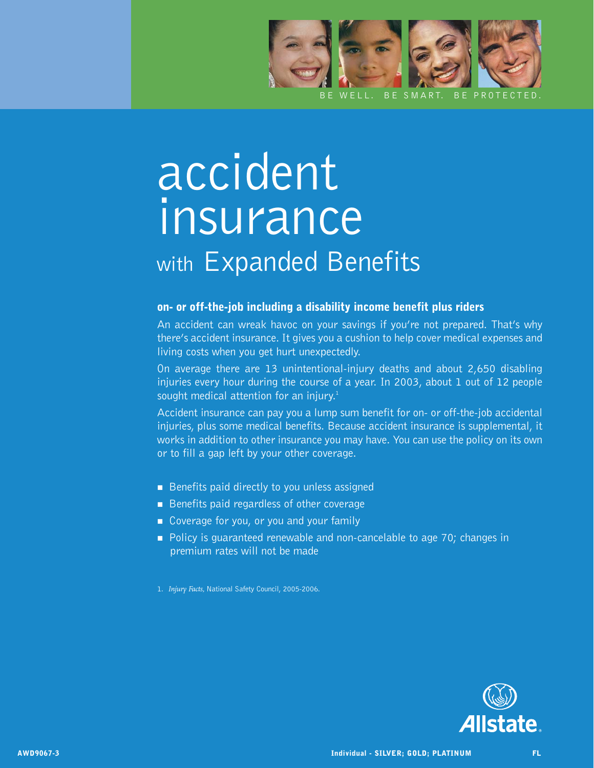

## accident insurance with Expanded Benefits

## on- or off-the-job including a disability income benefit plus riders

An accident can wreak havoc on your savings if you're not prepared. That's why there's accident insurance. It gives you a cushion to help cover medical expenses and living costs when you get hurt unexpectedly.

On average there are 13 unintentional-injury deaths and about 2,650 disabling injuries every hour during the course of a year. In 2003, about 1 out of 12 people sought medical attention for an injury.<sup>1</sup>

Accident insurance can pay you a lump sum benefit for on- or off-the-job accidental injuries, plus some medical benefits. Because accident insurance is supplemental, it works in addition to other insurance you may have. You can use the policy on its own or to fill a gap left by your other coverage.

- Benefits paid directly to you unless assigned
- $\blacksquare$  Benefits paid regardless of other coverage
- Coverage for you, or you and your family
- **Policy is quaranteed renewable and non-cancelable to age 70; changes in** premium rates will not be made

1. *Injury Facts,* National Safety Council, 2005-2006.

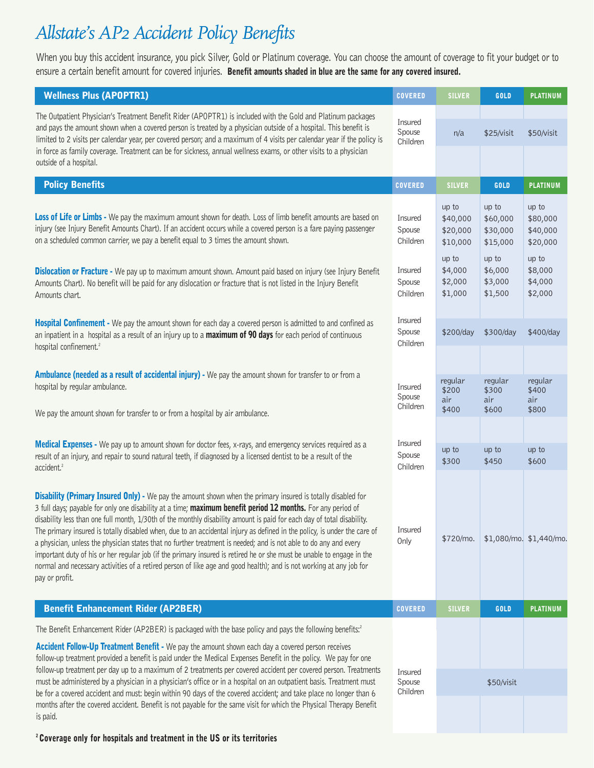## *Allstate's AP2 Accident Policy Benefits*

When you buy this accident insurance, you pick Silver, Gold or Platinum coverage. You can choose the amount of coverage to fit your budget or to ensure a certain benefit amount for covered injuries. Benefit amounts shaded in blue are the same for any covered insured.

| <b>Wellness Plus (APOPTR1)</b>                                                                                                                                                                                                                                                                                                                                                                                                                                                                                                                                                                                                                                                                                                                                                                                                                                                  | <b>COVERED</b>                | <b>SILVER</b>                             | GOLD                                      | <b>PLATINUM</b>                           |
|---------------------------------------------------------------------------------------------------------------------------------------------------------------------------------------------------------------------------------------------------------------------------------------------------------------------------------------------------------------------------------------------------------------------------------------------------------------------------------------------------------------------------------------------------------------------------------------------------------------------------------------------------------------------------------------------------------------------------------------------------------------------------------------------------------------------------------------------------------------------------------|-------------------------------|-------------------------------------------|-------------------------------------------|-------------------------------------------|
| The Outpatient Physician's Treatment Benefit Rider (APOPTR1) is included with the Gold and Platinum packages<br>and pays the amount shown when a covered person is treated by a physician outside of a hospital. This benefit is<br>limited to 2 visits per calendar year, per covered person; and a maximum of 4 visits per calendar year if the policy is                                                                                                                                                                                                                                                                                                                                                                                                                                                                                                                     | Insured<br>Spouse<br>Children | n/a                                       | \$25/visit                                | \$50/visit                                |
| in force as family coverage. Treatment can be for sickness, annual wellness exams, or other visits to a physician<br>outside of a hospital.                                                                                                                                                                                                                                                                                                                                                                                                                                                                                                                                                                                                                                                                                                                                     |                               |                                           |                                           |                                           |
| <b>Policy Benefits</b>                                                                                                                                                                                                                                                                                                                                                                                                                                                                                                                                                                                                                                                                                                                                                                                                                                                          | <b>COVERED</b>                | <b>SILVER</b>                             | GOLD                                      | <b>PLATINUM</b>                           |
| Loss of Life or Limbs - We pay the maximum amount shown for death. Loss of limb benefit amounts are based on<br>injury (see Injury Benefit Amounts Chart). If an accident occurs while a covered person is a fare paying passenger<br>on a scheduled common carrier, we pay a benefit equal to 3 times the amount shown.                                                                                                                                                                                                                                                                                                                                                                                                                                                                                                                                                        | Insured<br>Spouse<br>Children | up to<br>\$40,000<br>\$20,000<br>\$10,000 | up to<br>\$60,000<br>\$30,000<br>\$15,000 | up to<br>\$80,000<br>\$40,000<br>\$20,000 |
| Dislocation or Fracture - We pay up to maximum amount shown. Amount paid based on injury (see Injury Benefit<br>Amounts Chart). No benefit will be paid for any dislocation or fracture that is not listed in the Injury Benefit<br>Amounts chart.                                                                                                                                                                                                                                                                                                                                                                                                                                                                                                                                                                                                                              | Insured<br>Spouse<br>Children | up to<br>\$4,000<br>\$2,000<br>\$1,000    | up to<br>\$6,000<br>\$3,000<br>\$1,500    | up to<br>\$8,000<br>\$4,000<br>\$2,000    |
| Hospital Confinement - We pay the amount shown for each day a covered person is admitted to and confined as<br>an inpatient in a hospital as a result of an injury up to a maximum of 90 days for each period of continuous<br>hospital confinement. <sup>2</sup>                                                                                                                                                                                                                                                                                                                                                                                                                                                                                                                                                                                                               | Insured<br>Spouse<br>Children | \$200/day                                 | \$300/day                                 | \$400/day                                 |
|                                                                                                                                                                                                                                                                                                                                                                                                                                                                                                                                                                                                                                                                                                                                                                                                                                                                                 |                               |                                           |                                           |                                           |
| Ambulance (needed as a result of accidental injury) - We pay the amount shown for transfer to or from a<br>hospital by regular ambulance.                                                                                                                                                                                                                                                                                                                                                                                                                                                                                                                                                                                                                                                                                                                                       | Insured<br>Spouse<br>Children | regular<br>\$200<br>air                   | regular<br>\$300<br>air                   | regular<br>\$400<br>air                   |
| We pay the amount shown for transfer to or from a hospital by air ambulance.                                                                                                                                                                                                                                                                                                                                                                                                                                                                                                                                                                                                                                                                                                                                                                                                    |                               | \$400                                     | \$600                                     | \$800                                     |
| Medical Expenses - We pay up to amount shown for doctor fees, x-rays, and emergency services required as a<br>result of an injury, and repair to sound natural teeth, if diagnosed by a licensed dentist to be a result of the<br>accident. <sup>2</sup>                                                                                                                                                                                                                                                                                                                                                                                                                                                                                                                                                                                                                        | Insured<br>Spouse<br>Children | up to<br>\$300                            | up to<br>\$450                            | up to<br>\$600                            |
| <b>Disability (Primary Insured Only)</b> - We pay the amount shown when the primary insured is totally disabled for<br>3 full days; payable for only one disability at a time; maximum benefit period 12 months. For any period of<br>disability less than one full month, 1/30th of the monthly disability amount is paid for each day of total disability.<br>The primary insured is totally disabled when, due to an accidental injury as defined in the policy, is under the care of<br>a physician, unless the physician states that no further treatment is needed; and is not able to do any and every<br>important duty of his or her regular job (if the primary insured is retired he or she must be unable to engage in the<br>normal and necessary activities of a retired person of like age and good health); and is not working at any job for<br>pay or profit. | Insured<br>Only               | \$720/mo.                                 |                                           | $$1,080/m$ o. $$1,440/m$ o.               |
| <b>Benefit Enhancement Rider (AP2BER)</b>                                                                                                                                                                                                                                                                                                                                                                                                                                                                                                                                                                                                                                                                                                                                                                                                                                       | <b>COVERED</b>                | <b>SILVER</b>                             | GOLD                                      | <b>PLATINUM</b>                           |
| The Benefit Enhancement Rider (AP2BER) is packaged with the base policy and pays the following benefits: <sup>2</sup>                                                                                                                                                                                                                                                                                                                                                                                                                                                                                                                                                                                                                                                                                                                                                           |                               |                                           |                                           |                                           |
| Accident Follow-Up Treatment Benefit - We pay the amount shown each day a covered person receives<br>follow-up treatment provided a benefit is paid under the Medical Expenses Benefit in the policy. We pay for one<br>follow-up treatment per day up to a maximum of 2 treatments per covered accident per covered person. Treatments<br>must be administered by a physician in a physician's office or in a hospital on an outpatient basis. Treatment must<br>be for a covered accident and must: begin within 90 days of the covered accident; and take place no longer than 6                                                                                                                                                                                                                                                                                             | Insured<br>Spouse<br>Children |                                           | \$50/visit                                |                                           |
| months after the covered accident. Benefit is not payable for the same visit for which the Physical Therapy Benefit<br>is paid.                                                                                                                                                                                                                                                                                                                                                                                                                                                                                                                                                                                                                                                                                                                                                 |                               |                                           |                                           |                                           |

2 Coverage only for hospitals and treatment in the US or its territories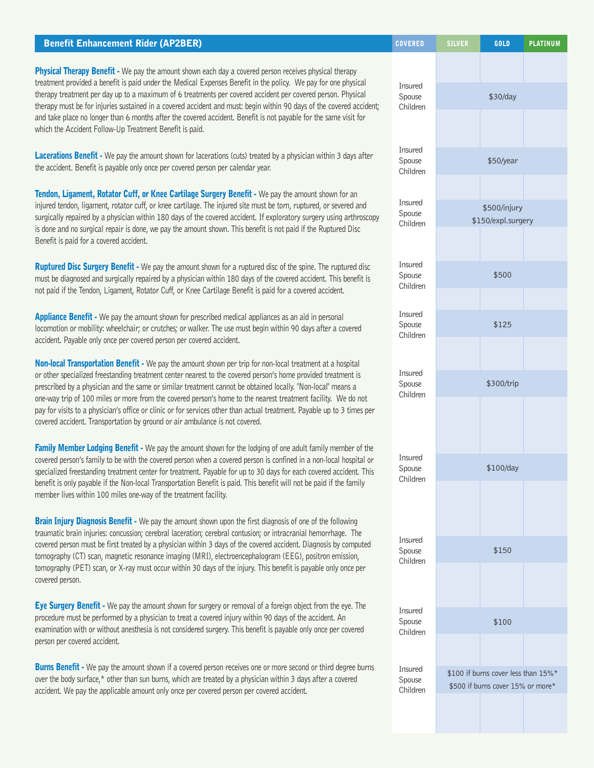| <b>Benefit Enhancement Rider (AP2BER)</b>                                                                                                                                                                                                                                                                                                                                                                                                                                                                     | <b>COVERED</b>                | <b>SILVER</b> | GOLD                                                                     | <b>PLATINUM</b> |
|---------------------------------------------------------------------------------------------------------------------------------------------------------------------------------------------------------------------------------------------------------------------------------------------------------------------------------------------------------------------------------------------------------------------------------------------------------------------------------------------------------------|-------------------------------|---------------|--------------------------------------------------------------------------|-----------------|
| Physical Therapy Benefit - We pay the amount shown each day a covered person receives physical therapy<br>treatment provided a benefit is paid under the Medical Expenses Benefit in the policy. We pay for one physical                                                                                                                                                                                                                                                                                      | Insured                       |               |                                                                          |                 |
| therapy treatment per day up to a maximum of 6 treatments per covered accident per covered person. Physical<br>therapy must be for injuries sustained in a covered accident and must: begin within 90 days of the covered accident;<br>and take place no longer than 6 months after the covered accident. Benefit is not payable for the same visit for<br>which the Accident Follow-Up Treatment Benefit is paid.                                                                                            | Spouse<br>Children            |               | \$30/day                                                                 |                 |
| Lacerations Benefit - We pay the amount shown for lacerations (cuts) treated by a physician within 3 days after<br>the accident. Benefit is payable only once per covered person per calendar year.                                                                                                                                                                                                                                                                                                           | Insured<br>Spouse<br>Children |               | \$50/year                                                                |                 |
| Tendon, Ligament, Rotator Cuff, or Knee Cartilage Surgery Benefit - We pay the amount shown for an<br>injured tendon, ligament, rotator cuff, or knee cartilage. The injured site must be torn, ruptured, or severed and<br>surgically repaired by a physician within 180 days of the covered accident. If exploratory surgery using arthroscopy<br>is done and no surgical repair is done, we pay the amount shown. This benefit is not paid if the Ruptured Disc<br>Benefit is paid for a covered accident. | Insured<br>Spouse<br>Children |               | \$500/injury<br>\$150/expl.surgery                                       |                 |
| Ruptured Disc Surgery Benefit - We pay the amount shown for a ruptured disc of the spine. The ruptured disc<br>must be diagnosed and surgically repaired by a physician within 180 days of the covered accident. This benefit is<br>not paid if the Tendon, Ligament, Rotator Cuff, or Knee Cartilage Benefit is paid for a covered accident.                                                                                                                                                                 | Insured<br>Spouse<br>Children |               | \$500                                                                    |                 |
| Appliance Benefit - We pay the amount shown for prescribed medical appliances as an aid in personal<br>locomotion or mobility: wheelchair; or crutches; or walker. The use must begin within 90 days after a covered<br>accident. Payable only once per covered person per covered accident.                                                                                                                                                                                                                  | Insured<br>Spouse<br>Children |               | \$125                                                                    |                 |
| Non-local Transportation Benefit - We pay the amount shown per trip for non-local treatment at a hospital<br>or other specialized freestanding treatment center nearest to the covered person's home provided treatment is<br>prescribed by a physician and the same or similar treatment cannot be obtained locally. "Non-local" means a                                                                                                                                                                     | Insured<br>Spouse             |               | \$300/trip                                                               |                 |
| Children<br>one-way trip of 100 miles or more from the covered person's home to the nearest treatment facility. We do not<br>pay for visits to a physician's office or clinic or for services other than actual treatment. Payable up to 3 times per<br>covered accident. Transportation by ground or air ambulance is not covered.                                                                                                                                                                           |                               |               |                                                                          |                 |
| Family Member Lodging Benefit - We pay the amount shown for the lodging of one adult family member of the<br>covered person's family to be with the covered person when a covered person is confined in a non-local hospital or<br>specialized freestanding treatment center for treatment. Payable for up to 30 days for each covered accident. This<br>benefit is only payable if the Non-local Transportation Benefit is paid. This benefit will not be paid if the family                                 | Insured<br>Spouse<br>Children |               | \$100/day                                                                |                 |
| member lives within 100 miles one-way of the treatment facility.<br>Brain Injury Diagnosis Benefit - We pay the amount shown upon the first diagnosis of one of the following<br>traumatic brain injuries: concussion; cerebral laceration; cerebral contusion; or intracranial hemorrhage. The                                                                                                                                                                                                               |                               |               |                                                                          |                 |
| covered person must be first treated by a physician within 3 days of the covered accident. Diagnosis by computed<br>tomography (CT) scan, magnetic resonance imaging (MRI), electroencephalogram (EEG), positron emission,<br>tomography (PET) scan, or X-ray must occur within 30 days of the injury. This benefit is payable only once per<br>covered person.                                                                                                                                               | Insured<br>Spouse<br>Children |               | \$150                                                                    |                 |
| Eye Surgery Benefit - We pay the amount shown for surgery or removal of a foreign object from the eye. The<br>procedure must be performed by a physician to treat a covered injury within 90 days of the accident. An                                                                                                                                                                                                                                                                                         | Insured<br>Spouse             |               | \$100                                                                    |                 |
| examination with or without anesthesia is not considered surgery. This benefit is payable only once per covered<br>person per covered accident.                                                                                                                                                                                                                                                                                                                                                               | Children                      |               |                                                                          |                 |
| <b>Burns Benefit</b> - We pay the amount shown if a covered person receives one or more second or third degree burns<br>over the body surface,* other than sun burns, which are treated by a physician within 3 days after a covered<br>accident. We pay the applicable amount only once per covered person per covered accident.                                                                                                                                                                             | Insured<br>Spouse<br>Children |               | \$100 if burns cover less than 15%*<br>\$500 if burns cover 15% or more* |                 |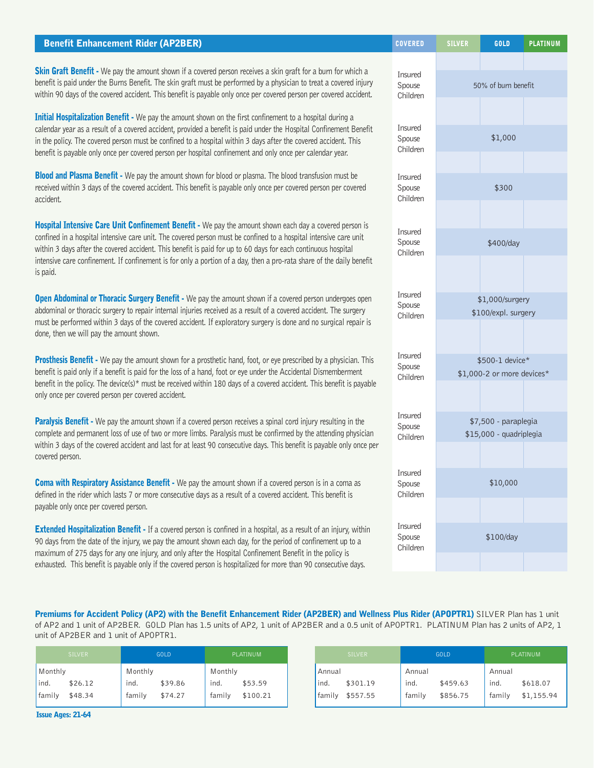| <b>Benefit Enhancement Rider (AP2BER)</b>                                                                                                                                                                                                                                                                                                                 | <b>COVERED</b>                | <b>SILVER</b>        | GOLD                       | <b>PLATINUM</b> |
|-----------------------------------------------------------------------------------------------------------------------------------------------------------------------------------------------------------------------------------------------------------------------------------------------------------------------------------------------------------|-------------------------------|----------------------|----------------------------|-----------------|
| Skin Graft Benefit - We pay the amount shown if a covered person receives a skin graft for a burn for which a<br>benefit is paid under the Burns Benefit. The skin graft must be performed by a physician to treat a covered injury<br>within 90 days of the covered accident. This benefit is payable only once per covered person per covered accident. | Insured<br>Spouse<br>Children |                      | 50% of burn benefit        |                 |
| Initial Hospitalization Benefit - We pay the amount shown on the first confinement to a hospital during a                                                                                                                                                                                                                                                 |                               |                      |                            |                 |
| calendar year as a result of a covered accident, provided a benefit is paid under the Hospital Confinement Benefit<br>in the policy. The covered person must be confined to a hospital within 3 days after the covered accident. This<br>benefit is payable only once per covered person per hospital confinement and only once per calendar year.        | Insured<br>Spouse<br>Children | \$1,000              |                            |                 |
| <b>Blood and Plasma Benefit -</b> We pay the amount shown for blood or plasma. The blood transfusion must be                                                                                                                                                                                                                                              | Insured                       |                      |                            |                 |
| received within 3 days of the covered accident. This benefit is payable only once per covered person per covered<br>accident.                                                                                                                                                                                                                             | Spouse<br>Children            |                      | \$300                      |                 |
| Hospital Intensive Care Unit Confinement Benefit - We pay the amount shown each day a covered person is                                                                                                                                                                                                                                                   |                               |                      |                            |                 |
| confined in a hospital intensive care unit. The covered person must be confined to a hospital intensive care unit<br>within 3 days after the covered accident. This benefit is paid for up to 60 days for each continuous hospital                                                                                                                        | Insured<br>Spouse<br>Children | \$400/day            |                            |                 |
| intensive care confinement. If confinement is for only a portion of a day, then a pro-rata share of the daily benefit<br>is paid.                                                                                                                                                                                                                         |                               |                      |                            |                 |
| Open Abdominal or Thoracic Surgery Benefit - We pay the amount shown if a covered person undergoes open                                                                                                                                                                                                                                                   | Insured<br>Spouse             | \$1,000/surgery      |                            |                 |
| abdominal or thoracic surgery to repair internal injuries received as a result of a covered accident. The surgery<br>must be performed within 3 days of the covered accident. If exploratory surgery is done and no surgical repair is<br>done, then we will pay the amount shown.                                                                        | Children                      |                      | \$100/expl. surgery        |                 |
| Prosthesis Benefit - We pay the amount shown for a prosthetic hand, foot, or eye prescribed by a physician. This                                                                                                                                                                                                                                          | Insured<br>Spouse             | \$500-1 device*      |                            |                 |
| benefit is paid only if a benefit is paid for the loss of a hand, foot or eye under the Accidental Dismemberment<br>benefit in the policy. The device(s)* must be received within 180 days of a covered accident. This benefit is payable<br>only once per covered person per covered accident.                                                           | Children                      |                      | \$1,000-2 or more devices* |                 |
| Paralysis Benefit - We pay the amount shown if a covered person receives a spinal cord injury resulting in the                                                                                                                                                                                                                                            | Insured                       | \$7,500 - paraplegia |                            |                 |
| complete and permanent loss of use of two or more limbs. Paralysis must be confirmed by the attending physician<br>within 3 days of the covered accident and last for at least 90 consecutive days. This benefit is payable only once per                                                                                                                 | Spouse<br>Children            |                      | \$15,000 - quadriplegia    |                 |
| covered person.                                                                                                                                                                                                                                                                                                                                           | Insured                       |                      |                            |                 |
| Coma with Respiratory Assistance Benefit - We pay the amount shown if a covered person is in a coma as<br>defined in the rider which lasts 7 or more consecutive days as a result of a covered accident. This benefit is<br>payable only once per covered person.                                                                                         | Spouse<br>Children            |                      | \$10,000                   |                 |
|                                                                                                                                                                                                                                                                                                                                                           | Insured                       |                      |                            |                 |
| Extended Hospitalization Benefit - If a covered person is confined in a hospital, as a result of an injury, within<br>00 days from the date of the injury up nou the americate decum cash day fou the newled of confinement up to a                                                                                                                       | Spouse                        |                      | \$100/day                  |                 |

Premiums for Accident Policy (AP2) with the Benefit Enhancement Rider (AP2BER) and Wellness Plus Rider (APOPTR1) SILVER Plan has 1 unit of AP2 and 1 unit of AP2BER. GOLD Plan has 1.5 units of AP2, 1 unit of AP2BER and a 0.5 unit of APOPTR1. PLATINUM Plan has 2 units of AP2, 1 unit of AP2BER and 1 unit of APOPTR1.

Children

90 days from the date of the injury, we pay the amount shown each day, for the period of confinement up to a maximum of 275 days for any one injury, and only after the Hospital Confinement Benefit in the policy is exhausted. This benefit is payable only if the covered person is hospitalized for more than 90 consecutive days.

| <b>SILVER</b> | <b>GOLD</b> | PLATINUM |  | <b>SILVER</b> | <b>GOLD</b> | PLATINUM   |
|---------------|-------------|----------|--|---------------|-------------|------------|
| Monthly       | Monthly     | Monthly  |  | Annual        | Annual      | Annual     |
| lind.         | \$39.86     | ind.     |  | ind.          | ind.        | ind.       |
| \$26.12       | ind.        | \$53.59  |  | \$301.19      | \$459.63    | \$618.07   |
| family        | family      | family   |  | ' family      | family      | family     |
| \$48.34       | \$74.27     | \$100.21 |  | \$557.55      | \$856.75    | \$1,155.94 |

Issue Ages: 21-64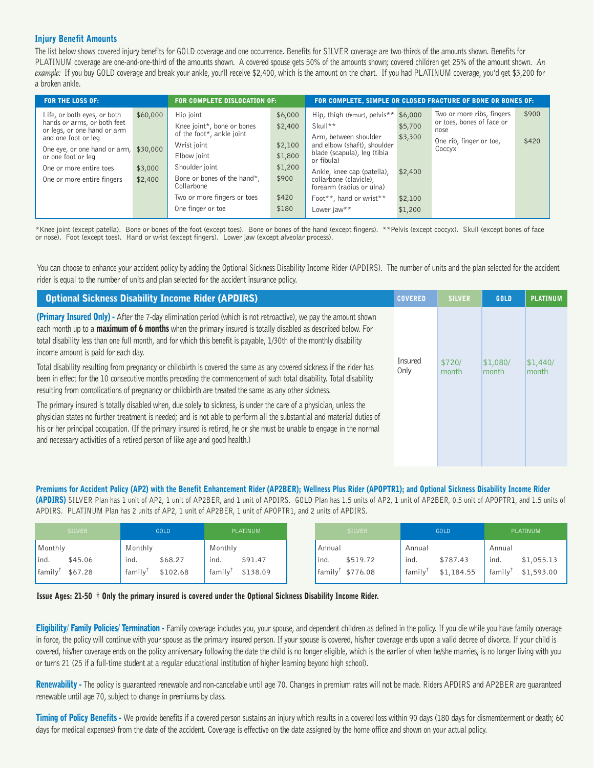## Injury Benefit Amounts

The list below shows covered injury benefits for GOLD coverage and one occurrence. Benefits for SILVER coverage are two-thirds of the amounts shown. Benefits for PLATINUM coverage are one-and-one-third of the amounts shown. A covered spouse gets 50% of the amounts shown; covered children get 25% of the amount shown. *An example:* If you buy GOLD coverage and break your ankle, you'll receive \$2,400, which is the amount on the chart. If you had PLATINUM coverage, you'd get \$3,200 for a broken ankle.

| <b>FOR THE LOSS OF:</b>                                                                   |                    | <b>FOR COMPLETE DISLOCATION OF:</b>                                  | FOR COMPLETE, SIMPLE OR CLOSED FRACTURE OF BONE OR BONES OF: |                                                                                                   |                    |                                                                |       |
|-------------------------------------------------------------------------------------------|--------------------|----------------------------------------------------------------------|--------------------------------------------------------------|---------------------------------------------------------------------------------------------------|--------------------|----------------------------------------------------------------|-------|
| Life, or both eyes, or both<br>hands or arms, or both feet<br>or legs, or one hand or arm | \$60,000           | Hip joint<br>Knee joint*, bone or bones<br>of the foot*, ankle joint | \$6,000<br>\$2,400                                           | Hip, thigh (femur), pelvis <sup>**</sup> \$6,000<br>Skull**                                       | \$5,700            | Two or more ribs, fingers<br>or toes, bones of face or<br>nose | \$900 |
| and one foot or leg<br>One eye, or one hand or arm,<br>or one foot or leg                 | \$30,000           | Wrist joint<br>Elbow joint                                           | \$2,100<br>\$1,800                                           | Arm, between shoulder<br>and elbow (shaft), shoulder<br>blade (scapula), leg (tibia<br>or fibula) | \$3,300            | One rib, finger or toe,<br>Coccyx                              | \$420 |
| One or more entire toes<br>One or more entire fingers                                     | \$3,000<br>\$2,400 | Shoulder joint<br>Bone or bones of the hand*,<br>Collarbone          | \$1,200<br>\$900                                             | Ankle, knee cap (patella),<br>collarbone (clavicle),<br>forearm (radius or ulna)                  | \$2,400            |                                                                |       |
|                                                                                           |                    | Two or more fingers or toes<br>One finger or toe                     | \$420<br>\$180                                               | Foot**, hand or wrist**<br>Lower jaw**                                                            | \$2,100<br>\$1,200 |                                                                |       |

\*Knee joint (except patella). Bone or bones of the foot (except toes). Bone or bones of the hand (except fingers). \*\*Pelvis (except coccyx). Skull (except bones of face or nose). Foot (except toes). Hand or wrist (except fingers). Lower jaw (except alveolar process).

You can choose to enhance your accident policy by adding the Optional Sickness Disability Income Rider (APDIRS). The number of units and the plan selected for the accident rider is equal to the number of units and plan selected for the accident insurance policy.

| <b>Optional Sickness Disability Income Rider (APDIRS)</b>                                                                                                                                                                                                                                                                                                                                                                                           | <b>COVERED</b>  | <b>SILVER</b>   | GOLD                      | <b>PLATINUM</b>          |
|-----------------------------------------------------------------------------------------------------------------------------------------------------------------------------------------------------------------------------------------------------------------------------------------------------------------------------------------------------------------------------------------------------------------------------------------------------|-----------------|-----------------|---------------------------|--------------------------|
| (Primary Insured Only) - After the 7-day elimination period (which is not retroactive), we pay the amount shown<br>each month up to a <b>maximum of 6 months</b> when the primary insured is totally disabled as described below. For<br>total disability less than one full month, and for which this benefit is payable, 1/30th of the monthly disability<br>income amount is paid for each day.                                                  |                 |                 |                           |                          |
| Total disability resulting from pregnancy or childbirth is covered the same as any covered sickness if the rider has<br>been in effect for the 10 consecutive months preceding the commencement of such total disability. Total disability<br>resulting from complications of pregnancy or childbirth are treated the same as any other sickness.                                                                                                   | Insured<br>Only | \$720/<br>month | \$1,080/<br><b>Imonth</b> | \$1,440/<br><b>month</b> |
| The primary insured is totally disabled when, due solely to sickness, is under the care of a physician, unless the<br>physician states no further treatment is needed; and is not able to perform all the substantial and material duties of<br>his or her principal occupation. (If the primary insured is retired, he or she must be unable to engage in the normal<br>and necessary activities of a retired person of like age and good health.) |                 |                 |                           |                          |

Premiums for Accident Policy (AP2) with the Benefit Enhancement Rider (AP2BER); Wellness Plus Rider (APOPTR1); and Optional Sickness Disability Income Rider (APDIRS) SILVER Plan has 1 unit of AP2, 1 unit of AP2BER, and 1 unit of APDIRS. GOLD Plan has 1.5 units of AP2, 1 unit of AP2BER, 0.5 unit of APOPTR1, and 1.5 units of APDIRS. PLATINUM Plan has 2 units of AP2, 1 unit of AP2BER, 1 unit of APOPTR1, and 2 units of APDIRS.

| <b>SILVER</b>       | <b>GOLD</b> | <b>PLATINUM</b> | <b>SILVER</b>      | GOLD       | PLATINUM           |
|---------------------|-------------|-----------------|--------------------|------------|--------------------|
| Monthly             | Monthly     | Monthly         | Annual             | Annual     | Annual             |
| ind.                | ind.        | ind.            | ind.               | ind.       | ind.               |
| \$45.06             | \$68.27     | \$91.47         | \$519.72           | \$787.43   | \$1,055.13         |
| family <sup>1</sup> | family      | family          | $family^{\dagger}$ | family     | $family^{\dagger}$ |
| \$67.28             | \$102.68    | \$138.09        | \$776.08           | \$1,184.55 | \$1,593.00         |

Issue Ages: 21-50 † Only the primary insured is covered under the Optional Sickness Disability Income Rider.

Eligibility/ Family Policies/ Termination - Family coverage includes you, your spouse, and dependent children as defined in the policy. If you die while you have family coverage in force, the policy will continue with your spouse as the primary insured person. If your spouse is covered, his/her coverage ends upon a valid decree of divorce. If your child is covered, his/her coverage ends on the policy anniversary following the date the child is no longer eligible, which is the earlier of when he/she marries, is no longer living with you or turns 21 (25 if a full-time student at a regular educational institution of higher learning beyond high school).

Renewability - The policy is guaranteed renewable and non-cancelable until age 70. Changes in premium rates will not be made. Riders APDIRS and AP2BER are guaranteed renewable until age 70, subject to change in premiums by class.

Timing of Policy Benefits - We provide benefits if a covered person sustains an injury which results in a covered loss within 90 days (180 days for dismemberment or death; 60 days for medical expenses) from the date of the accident. Coverage is effective on the date assigned by the home office and shown on your actual policy.